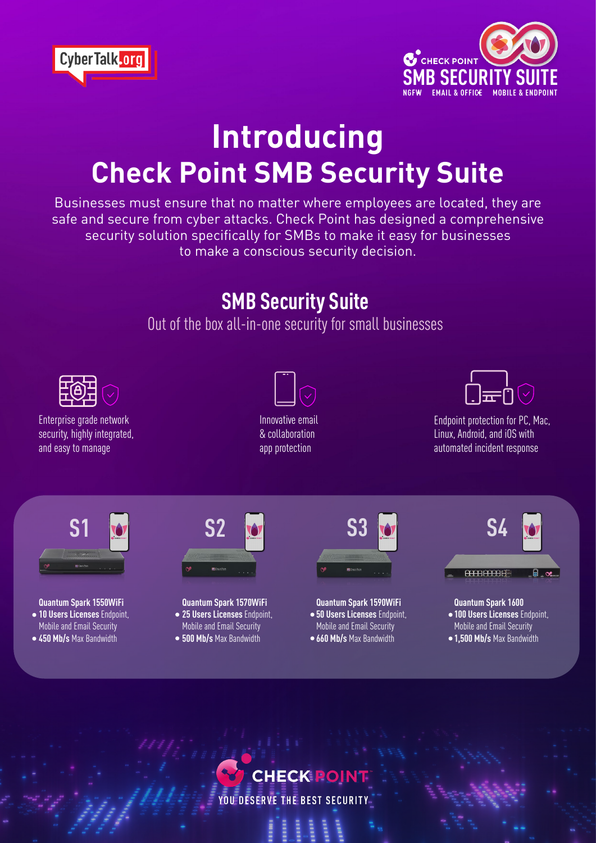



## **Introducing Check Point SMB Security Suite**

Businesses must ensure that no matter where employees are located, they are safe and secure from cyber attacks. Check Point has designed a comprehensive security solution specifically for SMBs to make it easy for businesses to make a conscious security decision.

## **SMB Security Suite**

Out of the box all-in-one security for small businesses



**CHECK POINT** 

YOU DESERVE THE BEST SECURITY

**Gandwidth Max Bandwidth**